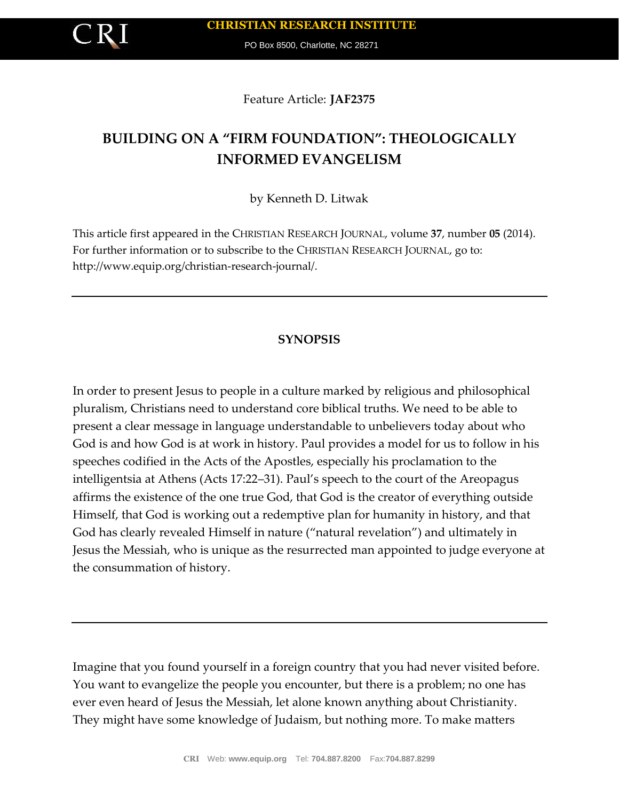

PO Box 8500, Charlotte, NC 28271

Feature Article: **JAF2375**

## **BUILDING ON A "FIRM FOUNDATION": THEOLOGICALLY INFORMED EVANGELISM**

by Kenneth D. Litwak

This article first appeared in the CHRISTIAN RESEARCH JOURNAL, volume **37**, number **05** (2014). For further information or to subscribe to the CHRISTIAN RESEARCH JOURNAL, go to: http://www.equip.org/christian-research-journal/.

## **SYNOPSIS**

In order to present Jesus to people in a culture marked by religious and philosophical pluralism, Christians need to understand core biblical truths. We need to be able to present a clear message in language understandable to unbelievers today about who God is and how God is at work in history. Paul provides a model for us to follow in his speeches codified in the Acts of the Apostles, especially his proclamation to the intelligentsia at Athens (Acts 17:22–31). Paul's speech to the court of the Areopagus affirms the existence of the one true God, that God is the creator of everything outside Himself, that God is working out a redemptive plan for humanity in history, and that God has clearly revealed Himself in nature ("natural revelation") and ultimately in Jesus the Messiah, who is unique as the resurrected man appointed to judge everyone at the consummation of history.

Imagine that you found yourself in a foreign country that you had never visited before. You want to evangelize the people you encounter, but there is a problem; no one has ever even heard of Jesus the Messiah, let alone known anything about Christianity. They might have some knowledge of Judaism, but nothing more. To make matters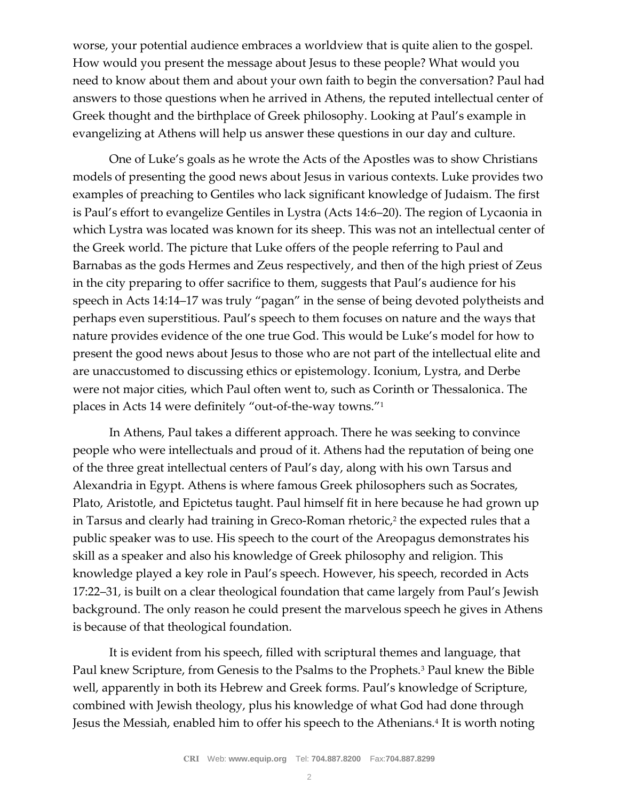worse, your potential audience embraces a worldview that is quite alien to the gospel. How would you present the message about Jesus to these people? What would you need to know about them and about your own faith to begin the conversation? Paul had answers to those questions when he arrived in Athens, the reputed intellectual center of Greek thought and the birthplace of Greek philosophy. Looking at Paul's example in evangelizing at Athens will help us answer these questions in our day and culture.

One of Luke's goals as he wrote the Acts of the Apostles was to show Christians models of presenting the good news about Jesus in various contexts. Luke provides two examples of preaching to Gentiles who lack significant knowledge of Judaism. The first is Paul's effort to evangelize Gentiles in Lystra (Acts 14:6–20). The region of Lycaonia in which Lystra was located was known for its sheep. This was not an intellectual center of the Greek world. The picture that Luke offers of the people referring to Paul and Barnabas as the gods Hermes and Zeus respectively, and then of the high priest of Zeus in the city preparing to offer sacrifice to them, suggests that Paul's audience for his speech in Acts 14:14–17 was truly "pagan" in the sense of being devoted polytheists and perhaps even superstitious. Paul's speech to them focuses on nature and the ways that nature provides evidence of the one true God. This would be Luke's model for how to present the good news about Jesus to those who are not part of the intellectual elite and are unaccustomed to discussing ethics or epistemology. Iconium, Lystra, and Derbe were not major cities, which Paul often went to, such as Corinth or Thessalonica. The places in Acts 14 were definitely "out-of-the-way towns."<sup>1</sup>

In Athens, Paul takes a different approach. There he was seeking to convince people who were intellectuals and proud of it. Athens had the reputation of being one of the three great intellectual centers of Paul's day, along with his own Tarsus and Alexandria in Egypt. Athens is where famous Greek philosophers such as Socrates, Plato, Aristotle, and Epictetus taught. Paul himself fit in here because he had grown up in Tarsus and clearly had training in Greco-Roman rhetoric, $^2$  the expected rules that a  $\,$ public speaker was to use. His speech to the court of the Areopagus demonstrates his skill as a speaker and also his knowledge of Greek philosophy and religion. This knowledge played a key role in Paul's speech. However, his speech, recorded in Acts 17:22–31, is built on a clear theological foundation that came largely from Paul's Jewish background. The only reason he could present the marvelous speech he gives in Athens is because of that theological foundation.

It is evident from his speech, filled with scriptural themes and language, that Paul knew Scripture, from Genesis to the Psalms to the Prophets.<sup>3</sup> Paul knew the Bible well, apparently in both its Hebrew and Greek forms. Paul's knowledge of Scripture, combined with Jewish theology, plus his knowledge of what God had done through Jesus the Messiah, enabled him to offer his speech to the Athenians.<sup>4</sup> It is worth noting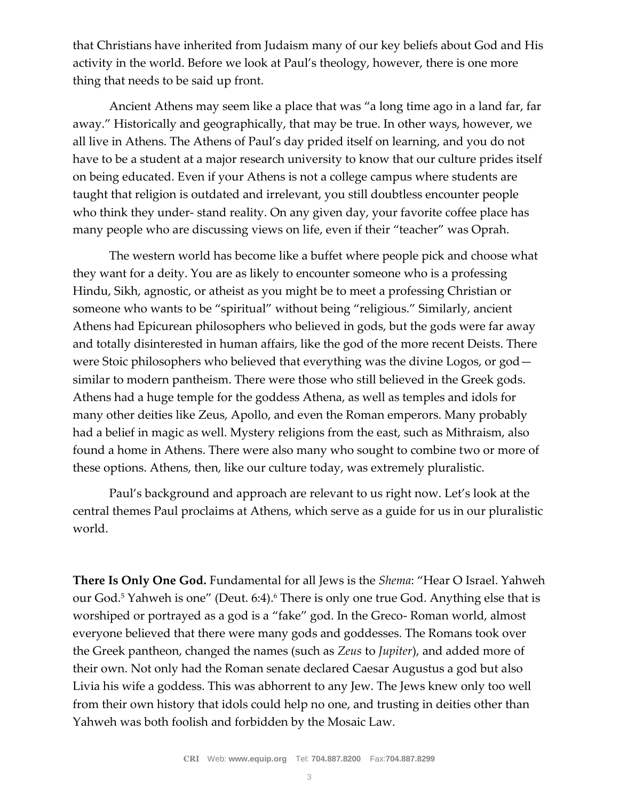that Christians have inherited from Judaism many of our key beliefs about God and His activity in the world. Before we look at Paul's theology, however, there is one more thing that needs to be said up front.

Ancient Athens may seem like a place that was "a long time ago in a land far, far away." Historically and geographically, that may be true. In other ways, however, we all live in Athens. The Athens of Paul's day prided itself on learning, and you do not have to be a student at a major research university to know that our culture prides itself on being educated. Even if your Athens is not a college campus where students are taught that religion is outdated and irrelevant, you still doubtless encounter people who think they under- stand reality. On any given day, your favorite coffee place has many people who are discussing views on life, even if their "teacher" was Oprah.

The western world has become like a buffet where people pick and choose what they want for a deity. You are as likely to encounter someone who is a professing Hindu, Sikh, agnostic, or atheist as you might be to meet a professing Christian or someone who wants to be "spiritual" without being "religious." Similarly, ancient Athens had Epicurean philosophers who believed in gods, but the gods were far away and totally disinterested in human affairs, like the god of the more recent Deists. There were Stoic philosophers who believed that everything was the divine Logos, or god similar to modern pantheism. There were those who still believed in the Greek gods. Athens had a huge temple for the goddess Athena, as well as temples and idols for many other deities like Zeus, Apollo, and even the Roman emperors. Many probably had a belief in magic as well. Mystery religions from the east, such as Mithraism, also found a home in Athens. There were also many who sought to combine two or more of these options. Athens, then, like our culture today, was extremely pluralistic.

Paul's background and approach are relevant to us right now. Let's look at the central themes Paul proclaims at Athens, which serve as a guide for us in our pluralistic world.

**There Is Only One God.** Fundamental for all Jews is the *Shema*: "Hear O Israel. Yahweh our God.<sup>5</sup> Yahweh is one" (Deut. 6:4).<sup>6</sup> There is only one true God. Anything else that is worshiped or portrayed as a god is a "fake" god. In the Greco- Roman world, almost everyone believed that there were many gods and goddesses. The Romans took over the Greek pantheon, changed the names (such as *Zeus* to *Jupiter*), and added more of their own. Not only had the Roman senate declared Caesar Augustus a god but also Livia his wife a goddess. This was abhorrent to any Jew. The Jews knew only too well from their own history that idols could help no one, and trusting in deities other than Yahweh was both foolish and forbidden by the Mosaic Law.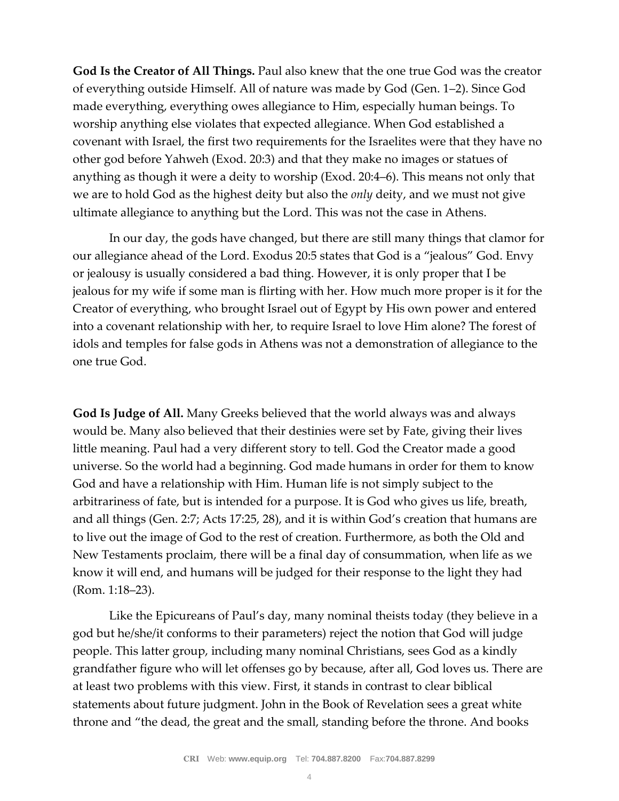**God Is the Creator of All Things.** Paul also knew that the one true God was the creator of everything outside Himself. All of nature was made by God (Gen. 1–2). Since God made everything, everything owes allegiance to Him, especially human beings. To worship anything else violates that expected allegiance. When God established a covenant with Israel, the first two requirements for the Israelites were that they have no other god before Yahweh (Exod. 20:3) and that they make no images or statues of anything as though it were a deity to worship (Exod. 20:4–6). This means not only that we are to hold God as the highest deity but also the *only* deity, and we must not give ultimate allegiance to anything but the Lord. This was not the case in Athens.

In our day, the gods have changed, but there are still many things that clamor for our allegiance ahead of the Lord. Exodus 20:5 states that God is a "jealous" God. Envy or jealousy is usually considered a bad thing. However, it is only proper that I be jealous for my wife if some man is flirting with her. How much more proper is it for the Creator of everything, who brought Israel out of Egypt by His own power and entered into a covenant relationship with her, to require Israel to love Him alone? The forest of idols and temples for false gods in Athens was not a demonstration of allegiance to the one true God.

**God Is Judge of All.** Many Greeks believed that the world always was and always would be. Many also believed that their destinies were set by Fate, giving their lives little meaning. Paul had a very different story to tell. God the Creator made a good universe. So the world had a beginning. God made humans in order for them to know God and have a relationship with Him. Human life is not simply subject to the arbitrariness of fate, but is intended for a purpose. It is God who gives us life, breath, and all things (Gen. 2:7; Acts 17:25, 28), and it is within God's creation that humans are to live out the image of God to the rest of creation. Furthermore, as both the Old and New Testaments proclaim, there will be a final day of consummation, when life as we know it will end, and humans will be judged for their response to the light they had (Rom. 1:18–23).

Like the Epicureans of Paul's day, many nominal theists today (they believe in a god but he/she/it conforms to their parameters) reject the notion that God will judge people. This latter group, including many nominal Christians, sees God as a kindly grandfather figure who will let offenses go by because, after all, God loves us. There are at least two problems with this view. First, it stands in contrast to clear biblical statements about future judgment. John in the Book of Revelation sees a great white throne and "the dead, the great and the small, standing before the throne. And books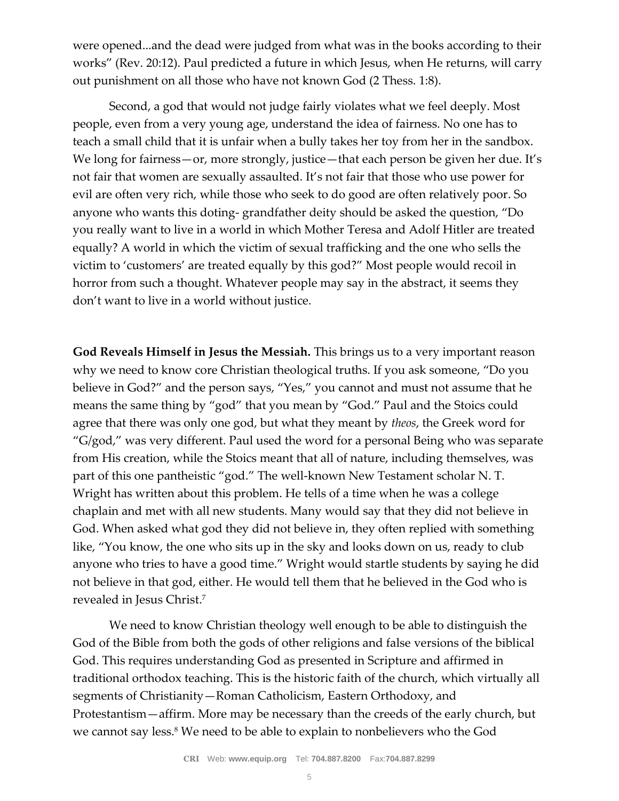were opened...and the dead were judged from what was in the books according to their works" (Rev. 20:12). Paul predicted a future in which Jesus, when He returns, will carry out punishment on all those who have not known God (2 Thess. 1:8).

Second, a god that would not judge fairly violates what we feel deeply. Most people, even from a very young age, understand the idea of fairness. No one has to teach a small child that it is unfair when a bully takes her toy from her in the sandbox. We long for fairness—or, more strongly, justice—that each person be given her due. It's not fair that women are sexually assaulted. It's not fair that those who use power for evil are often very rich, while those who seek to do good are often relatively poor. So anyone who wants this doting- grandfather deity should be asked the question, "Do you really want to live in a world in which Mother Teresa and Adolf Hitler are treated equally? A world in which the victim of sexual trafficking and the one who sells the victim to 'customers' are treated equally by this god?" Most people would recoil in horror from such a thought. Whatever people may say in the abstract, it seems they don't want to live in a world without justice.

**God Reveals Himself in Jesus the Messiah.** This brings us to a very important reason why we need to know core Christian theological truths. If you ask someone, "Do you believe in God?" and the person says, "Yes," you cannot and must not assume that he means the same thing by "god" that you mean by "God." Paul and the Stoics could agree that there was only one god, but what they meant by *theos*, the Greek word for "G/god," was very different. Paul used the word for a personal Being who was separate from His creation, while the Stoics meant that all of nature, including themselves, was part of this one pantheistic "god." The well-known New Testament scholar N. T. Wright has written about this problem. He tells of a time when he was a college chaplain and met with all new students. Many would say that they did not believe in God. When asked what god they did not believe in, they often replied with something like, "You know, the one who sits up in the sky and looks down on us, ready to club anyone who tries to have a good time." Wright would startle students by saying he did not believe in that god, either. He would tell them that he believed in the God who is revealed in Jesus Christ.<sup>7</sup>

We need to know Christian theology well enough to be able to distinguish the God of the Bible from both the gods of other religions and false versions of the biblical God. This requires understanding God as presented in Scripture and affirmed in traditional orthodox teaching. This is the historic faith of the church, which virtually all segments of Christianity—Roman Catholicism, Eastern Orthodoxy, and Protestantism—affirm. More may be necessary than the creeds of the early church, but we cannot say less.<sup>8</sup> We need to be able to explain to nonbelievers who the God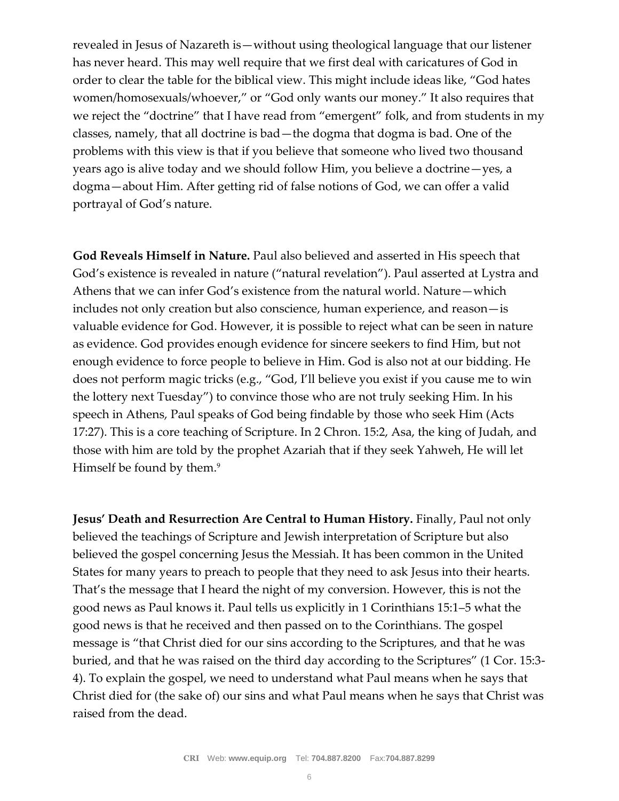revealed in Jesus of Nazareth is—without using theological language that our listener has never heard. This may well require that we first deal with caricatures of God in order to clear the table for the biblical view. This might include ideas like, "God hates women/homosexuals/whoever," or "God only wants our money." It also requires that we reject the "doctrine" that I have read from "emergent" folk, and from students in my classes, namely, that all doctrine is bad—the dogma that dogma is bad. One of the problems with this view is that if you believe that someone who lived two thousand years ago is alive today and we should follow Him, you believe a doctrine—yes, a dogma—about Him. After getting rid of false notions of God, we can offer a valid portrayal of God's nature.

**God Reveals Himself in Nature.** Paul also believed and asserted in His speech that God's existence is revealed in nature ("natural revelation"). Paul asserted at Lystra and Athens that we can infer God's existence from the natural world. Nature—which includes not only creation but also conscience, human experience, and reason—is valuable evidence for God. However, it is possible to reject what can be seen in nature as evidence. God provides enough evidence for sincere seekers to find Him, but not enough evidence to force people to believe in Him. God is also not at our bidding. He does not perform magic tricks (e.g., "God, I'll believe you exist if you cause me to win the lottery next Tuesday") to convince those who are not truly seeking Him. In his speech in Athens, Paul speaks of God being findable by those who seek Him (Acts 17:27). This is a core teaching of Scripture. In 2 Chron. 15:2, Asa, the king of Judah, and those with him are told by the prophet Azariah that if they seek Yahweh, He will let Himself be found by them.<sup>9</sup>

**Jesus' Death and Resurrection Are Central to Human History.** Finally, Paul not only believed the teachings of Scripture and Jewish interpretation of Scripture but also believed the gospel concerning Jesus the Messiah. It has been common in the United States for many years to preach to people that they need to ask Jesus into their hearts. That's the message that I heard the night of my conversion. However, this is not the good news as Paul knows it. Paul tells us explicitly in 1 Corinthians 15:1–5 what the good news is that he received and then passed on to the Corinthians. The gospel message is "that Christ died for our sins according to the Scriptures, and that he was buried, and that he was raised on the third day according to the Scriptures" (1 Cor. 15:3- 4). To explain the gospel, we need to understand what Paul means when he says that Christ died for (the sake of) our sins and what Paul means when he says that Christ was raised from the dead.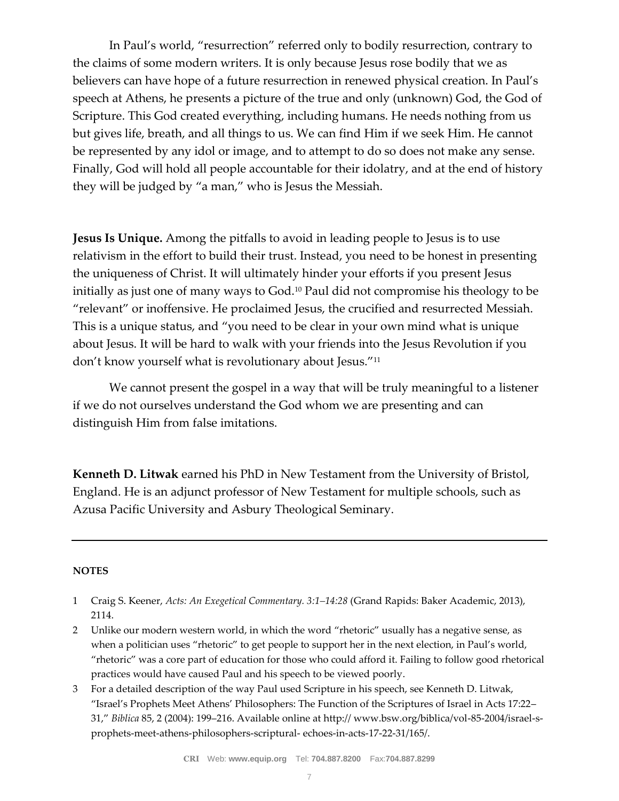In Paul's world, "resurrection" referred only to bodily resurrection, contrary to the claims of some modern writers. It is only because Jesus rose bodily that we as believers can have hope of a future resurrection in renewed physical creation. In Paul's speech at Athens, he presents a picture of the true and only (unknown) God, the God of Scripture. This God created everything, including humans. He needs nothing from us but gives life, breath, and all things to us. We can find Him if we seek Him. He cannot be represented by any idol or image, and to attempt to do so does not make any sense. Finally, God will hold all people accountable for their idolatry, and at the end of history they will be judged by "a man," who is Jesus the Messiah.

**Jesus Is Unique.** Among the pitfalls to avoid in leading people to Jesus is to use relativism in the effort to build their trust. Instead, you need to be honest in presenting the uniqueness of Christ. It will ultimately hinder your efforts if you present Jesus initially as just one of many ways to God.<sup>10</sup> Paul did not compromise his theology to be "relevant" or inoffensive. He proclaimed Jesus, the crucified and resurrected Messiah. This is a unique status, and "you need to be clear in your own mind what is unique about Jesus. It will be hard to walk with your friends into the Jesus Revolution if you don't know yourself what is revolutionary about Jesus."<sup>11</sup>

We cannot present the gospel in a way that will be truly meaningful to a listener if we do not ourselves understand the God whom we are presenting and can distinguish Him from false imitations.

**Kenneth D. Litwak** earned his PhD in New Testament from the University of Bristol, England. He is an adjunct professor of New Testament for multiple schools, such as Azusa Pacific University and Asbury Theological Seminary.

## **NOTES**

- 1 Craig S. Keener, *Acts: An Exegetical Commentary. 3:1–14:28* (Grand Rapids: Baker Academic, 2013), 2114.
- 2 Unlike our modern western world, in which the word "rhetoric" usually has a negative sense, as when a politician uses "rhetoric" to get people to support her in the next election, in Paul's world, "rhetoric" was a core part of education for those who could afford it. Failing to follow good rhetorical practices would have caused Paul and his speech to be viewed poorly.
- 3 For a detailed description of the way Paul used Scripture in his speech, see Kenneth D. Litwak, "Israel's Prophets Meet Athens' Philosophers: The Function of the Scriptures of Israel in Acts 17:22– 31," *Biblica* 85, 2 (2004): 199–216. Available online at http:// www.bsw.org/biblica/vol-85-2004/israel-sprophets-meet-athens-philosophers-scriptural- echoes-in-acts-17-22-31/165/.